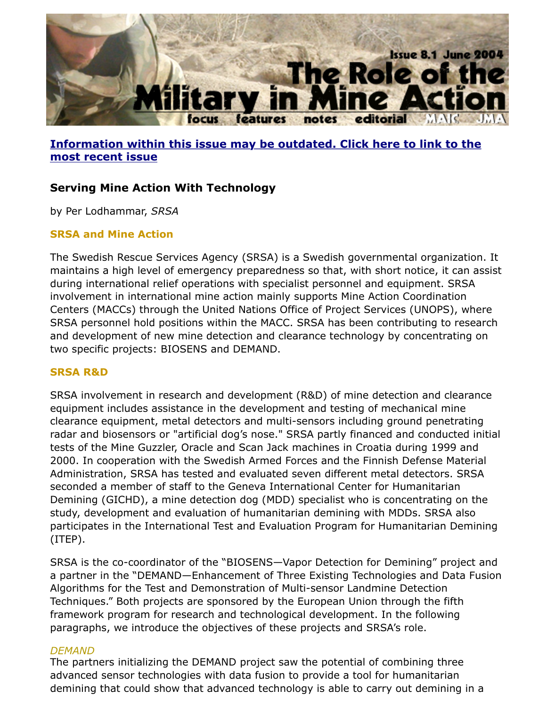

## **Information within this issue may be outdated. Click here to link to the most recent issue**

# **Serving Mine Action With Technology**

by Per Lodhammar, *SRSA*

### **SRSA and Mine Action**

[The Swedish Rescue Services Agency \(SRSA\) is a Swedish governmental organization](http://www.jmu.edu/cisr/journal/current.shtml). maintains a high level of emergency preparedness so that, with short notice, it can during international relief operations with specialist personnel and equipment. SRS/ involvement in international mine action mainly supports Mine Action Coordination Centers (MACCs) through the United Nations Office of Project Services (UNOPS), where SRSA personnel hold positions within the MACC. SRSA has been contributing to rese and development of new mine detection and clearance technology by concentrating two specific projects: BIOSENS and DEMAND.

## **SRSA R&D**

SRSA involvement in research and development (R&D) of mine detection and cleara equipment includes assistance in the development and testing of mechanical mine clearance equipment, metal detectors and multi-sensors including ground penetrati radar and biosensors or "artificial dog's nose." SRSA partly financed and conducted tests of the Mine Guzzler, Oracle and Scan Jack machines in Croatia during 1999 an 2000. In cooperation with the Swedish Armed Forces and the Finnish Defense Mate Administration, SRSA has tested and evaluated seven different metal detectors. SR seconded a member of staff to the Geneva International Center for Humanitarian Demining (GICHD), a mine detection dog (MDD) specialist who is concentrating on study, development and evaluation of humanitarian demining with MDDs. SRSA also participates in the International Test and Evaluation Program for Humanitarian Dem (ITEP).

SRSA is the co-coordinator of the "BIOSENS-Vapor Detection for Demining" project a partner in the "DEMAND—Enhancement of Three Existing Technologies and Data I Algorithms for the Test and Demonstration of Multi-sensor Landmine Detection Techniques." Both projects are sponsored by the European Union through the fifth framework program for research and technological development. In the following paragraphs, we introduce the objectives of these projects and SRSA's role.

#### *DEMAND*

The partners initializing the DEMAND project saw the potential of combining three advanced sensor technologies with data fusion to provide a tool for humanitarian demining that could show that advanced technology is able to carry out demining in